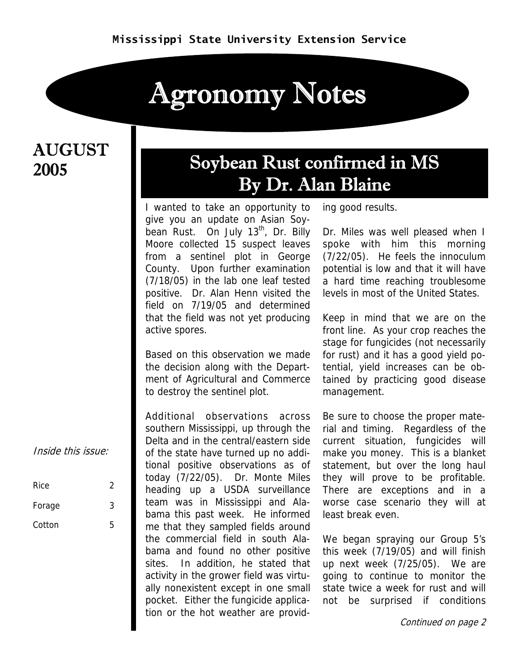# Agronomy Notes

### **AUGUST** 2005

## Soybean Rust confirmed in MS By Dr. Alan Blaine

I wanted to take an opportunity to give you an update on Asian Soybean Rust. On July  $13<sup>th</sup>$ , Dr. Billy Moore collected 15 suspect leaves from a sentinel plot in George County. Upon further examination (7/18/05) in the lab one leaf tested positive. Dr. Alan Henn visited the field on 7/19/05 and determined that the field was not yet producing active spores.

Based on this observation we made the decision along with the Department of Agricultural and Commerce to destroy the sentinel plot.

Additional observations across southern Mississippi, up through the Delta and in the central/eastern side of the state have turned up no additional positive observations as of today (7/22/05). Dr. Monte Miles heading up a USDA surveillance team was in Mississippi and Alabama this past week. He informed me that they sampled fields around the commercial field in south Alabama and found no other positive sites. In addition, he stated that activity in the grower field was virtually nonexistent except in one small pocket. Either the fungicide application or the hot weather are providing good results.

Dr. Miles was well pleased when I spoke with him this morning (7/22/05). He feels the innoculum potential is low and that it will have a hard time reaching troublesome levels in most of the United States.

Keep in mind that we are on the front line. As your crop reaches the stage for fungicides (not necessarily for rust) and it has a good yield potential, yield increases can be obtained by practicing good disease management.

Be sure to choose the proper material and timing. Regardless of the current situation, fungicides will make you money. This is a blanket statement, but over the long haul they will prove to be profitable. There are exceptions and in a worse case scenario they will at least break even.

We began spraying our Group 5's this week (7/19/05) and will finish up next week (7/25/05). We are going to continue to monitor the state twice a week for rust and will not be surprised if conditions

Continued on page 2

Inside this issue:

| Rice   | 2 |
|--------|---|
| Forage | 3 |
| Cotton | 5 |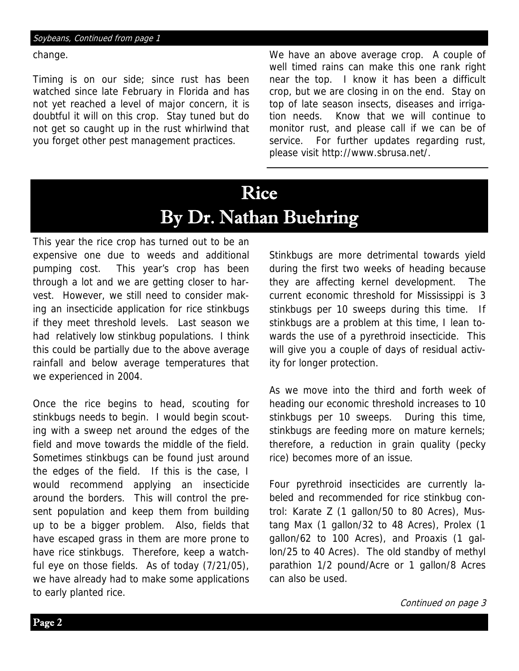change.

Timing is on our side; since rust has been watched since late February in Florida and has not yet reached a level of major concern, it is doubtful it will on this crop. Stay tuned but do not get so caught up in the rust whirlwind that you forget other pest management practices.

We have an above average crop. A couple of well timed rains can make this one rank right near the top. I know it has been a difficult crop, but we are closing in on the end. Stay on top of late season insects, diseases and irrigation needs. Know that we will continue to monitor rust, and please call if we can be of service. For further updates regarding rust, please visit http://www.sbrusa.net/.

# Rice By Dr. Nathan Buehring

This year the rice crop has turned out to be an expensive one due to weeds and additional pumping cost. This year's crop has been through a lot and we are getting closer to harvest. However, we still need to consider making an insecticide application for rice stinkbugs if they meet threshold levels. Last season we had relatively low stinkbug populations. I think this could be partially due to the above average rainfall and below average temperatures that we experienced in 2004.

Once the rice begins to head, scouting for stinkbugs needs to begin. I would begin scouting with a sweep net around the edges of the field and move towards the middle of the field. Sometimes stinkbugs can be found just around the edges of the field. If this is the case, I would recommend applying an insecticide around the borders. This will control the present population and keep them from building up to be a bigger problem. Also, fields that have escaped grass in them are more prone to have rice stinkbugs. Therefore, keep a watchful eye on those fields. As of today (7/21/05), we have already had to make some applications to early planted rice.

Stinkbugs are more detrimental towards yield during the first two weeks of heading because they are affecting kernel development. The current economic threshold for Mississippi is 3 stinkbugs per 10 sweeps during this time. If stinkbugs are a problem at this time, I lean towards the use of a pyrethroid insecticide. This will give you a couple of days of residual activity for longer protection.

As we move into the third and forth week of heading our economic threshold increases to 10 stinkbugs per 10 sweeps. During this time, stinkbugs are feeding more on mature kernels; therefore, a reduction in grain quality (pecky rice) becomes more of an issue.

Four pyrethroid insecticides are currently labeled and recommended for rice stinkbug control: Karate Z (1 gallon/50 to 80 Acres), Mustang Max (1 gallon/32 to 48 Acres), Prolex (1 gallon/62 to 100 Acres), and Proaxis (1 gallon/25 to 40 Acres). The old standby of methyl parathion 1/2 pound/Acre or 1 gallon/8 Acres can also be used.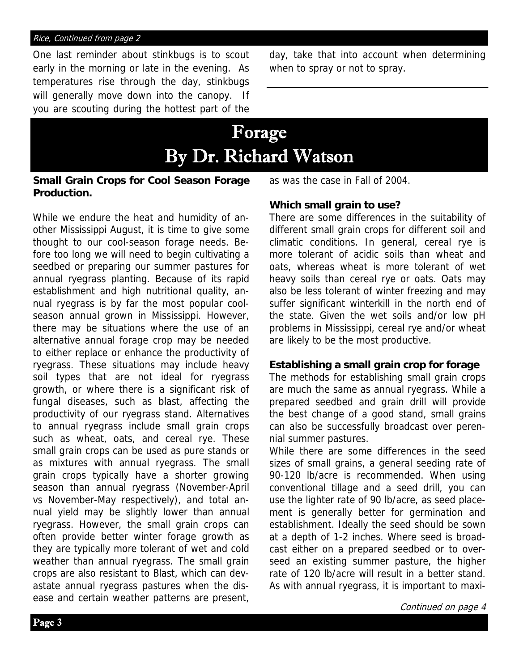#### Rice, Continued from page 2

One last reminder about stinkbugs is to scout early in the morning or late in the evening. As temperatures rise through the day, stinkbugs will generally move down into the canopy. If you are scouting during the hottest part of the

day, take that into account when determining when to spray or not to spray.

## Forage By Dr. Richard Watson

#### **Small Grain Crops for Cool Season Forage Production.**

While we endure the heat and humidity of another Mississippi August, it is time to give some thought to our cool-season forage needs. Before too long we will need to begin cultivating a seedbed or preparing our summer pastures for annual ryegrass planting. Because of its rapid establishment and high nutritional quality, annual ryegrass is by far the most popular coolseason annual grown in Mississippi. However, there may be situations where the use of an alternative annual forage crop may be needed to either replace or enhance the productivity of ryegrass. These situations may include heavy soil types that are not ideal for ryegrass growth, or where there is a significant risk of fungal diseases, such as blast, affecting the productivity of our ryegrass stand. Alternatives to annual ryegrass include small grain crops such as wheat, oats, and cereal rye. These small grain crops can be used as pure stands or as mixtures with annual ryegrass. The small grain crops typically have a shorter growing season than annual ryegrass (November-April vs November-May respectively), and total annual yield may be slightly lower than annual ryegrass. However, the small grain crops can often provide better winter forage growth as they are typically more tolerant of wet and cold weather than annual ryegrass. The small grain crops are also resistant to Blast, which can devastate annual ryegrass pastures when the disease and certain weather patterns are present,

as was the case in Fall of 2004.

### **Which small grain to use?**

There are some differences in the suitability of different small grain crops for different soil and climatic conditions. In general, cereal rye is more tolerant of acidic soils than wheat and oats, whereas wheat is more tolerant of wet heavy soils than cereal rye or oats. Oats may also be less tolerant of winter freezing and may suffer significant winterkill in the north end of the state. Given the wet soils and/or low pH problems in Mississippi, cereal rye and/or wheat are likely to be the most productive.

#### **Establishing a small grain crop for forage**

The methods for establishing small grain crops are much the same as annual ryegrass. While a prepared seedbed and grain drill will provide the best change of a good stand, small grains can also be successfully broadcast over perennial summer pastures.

While there are some differences in the seed sizes of small grains, a general seeding rate of 90-120 lb/acre is recommended. When using conventional tillage and a seed drill, you can use the lighter rate of 90 lb/acre, as seed placement is generally better for germination and establishment. Ideally the seed should be sown at a depth of 1-2 inches. Where seed is broadcast either on a prepared seedbed or to overseed an existing summer pasture, the higher rate of 120 lb/acre will result in a better stand. As with annual ryegrass, it is important to maxi-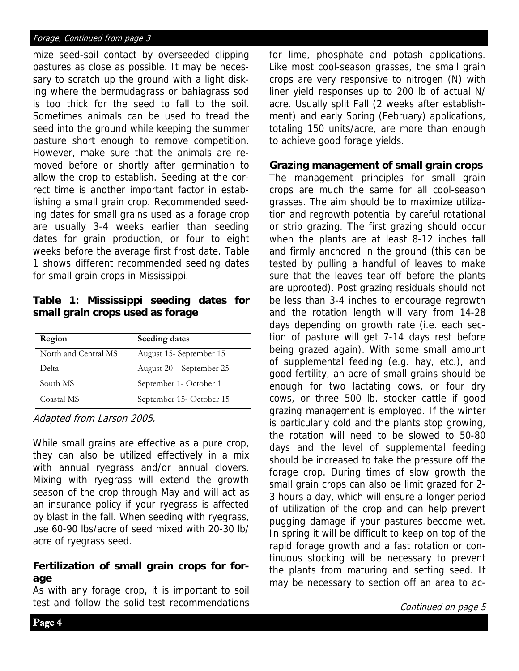#### Forage, Continued from page 3

mize seed-soil contact by overseeded clipping pastures as close as possible. It may be necessary to scratch up the ground with a light disking where the bermudagrass or bahiagrass sod is too thick for the seed to fall to the soil. Sometimes animals can be used to tread the seed into the ground while keeping the summer pasture short enough to remove competition. However, make sure that the animals are removed before or shortly after germination to allow the crop to establish. Seeding at the correct time is another important factor in establishing a small grain crop. Recommended seeding dates for small grains used as a forage crop are usually 3-4 weeks earlier than seeding dates for grain production, or four to eight weeks before the average first frost date. Table 1 shows different recommended seeding dates for small grain crops in Mississippi.

**Table 1: Mississippi seeding dates for small grain crops used as forage** 

| Region               | Seeding dates            |
|----------------------|--------------------------|
| North and Central MS | August 15 - September 15 |
| Delta                | August 20 – September 25 |
| South MS             | September 1 - October 1  |
| Coastal MS           | September 15-October 15  |

Adapted from Larson 2005.

While small grains are effective as a pure crop, they can also be utilized effectively in a mix with annual ryegrass and/or annual clovers. Mixing with ryegrass will extend the growth season of the crop through May and will act as an insurance policy if your ryegrass is affected by blast in the fall. When seeding with ryegrass, use 60-90 lbs/acre of seed mixed with 20-30 lb/ acre of ryegrass seed.

### **Fertilization of small grain crops for forage**

As with any forage crop, it is important to soil test and follow the solid test recommendations

for lime, phosphate and potash applications. Like most cool-season grasses, the small grain crops are very responsive to nitrogen (N) with liner yield responses up to 200 lb of actual N/ acre. Usually split Fall (2 weeks after establishment) and early Spring (February) applications, totaling 150 units/acre, are more than enough to achieve good forage yields.

### **Grazing management of small grain crops**

The management principles for small grain crops are much the same for all cool-season grasses. The aim should be to maximize utilization and regrowth potential by careful rotational or strip grazing. The first grazing should occur when the plants are at least 8-12 inches tall and firmly anchored in the ground (this can be tested by pulling a handful of leaves to make sure that the leaves tear off before the plants are uprooted). Post grazing residuals should not be less than 3-4 inches to encourage regrowth and the rotation length will vary from 14-28 days depending on growth rate (i.e. each section of pasture will get 7-14 days rest before being grazed again). With some small amount of supplemental feeding (e.g. hay, etc.), and good fertility, an acre of small grains should be enough for two lactating cows, or four dry cows, or three 500 lb. stocker cattle if good grazing management is employed. If the winter is particularly cold and the plants stop growing, the rotation will need to be slowed to 50-80 days and the level of supplemental feeding should be increased to take the pressure off the forage crop. During times of slow growth the small grain crops can also be limit grazed for 2- 3 hours a day, which will ensure a longer period of utilization of the crop and can help prevent pugging damage if your pastures become wet. In spring it will be difficult to keep on top of the rapid forage growth and a fast rotation or continuous stocking will be necessary to prevent the plants from maturing and setting seed. It may be necessary to section off an area to ac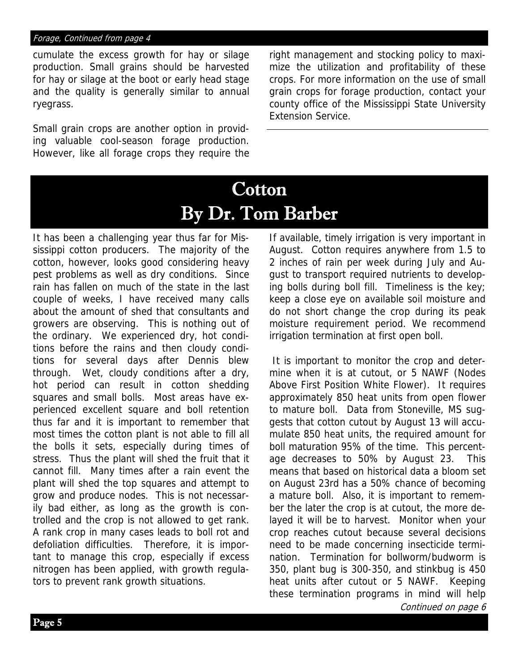cumulate the excess growth for hay or silage production. Small grains should be harvested for hay or silage at the boot or early head stage and the quality is generally similar to annual ryegrass.

Small grain crops are another option in providing valuable cool-season forage production. However, like all forage crops they require the right management and stocking policy to maximize the utilization and profitability of these crops. For more information on the use of small grain crops for forage production, contact your county office of the Mississippi State University Extension Service.

# **Cotton** By Dr. Tom Barber

It has been a challenging year thus far for Mississippi cotton producers. The majority of the cotton, however, looks good considering heavy pest problems as well as dry conditions. Since rain has fallen on much of the state in the last couple of weeks, I have received many calls about the amount of shed that consultants and growers are observing. This is nothing out of the ordinary. We experienced dry, hot conditions before the rains and then cloudy conditions for several days after Dennis blew through. Wet, cloudy conditions after a dry, hot period can result in cotton shedding squares and small bolls. Most areas have experienced excellent square and boll retention thus far and it is important to remember that most times the cotton plant is not able to fill all the bolls it sets, especially during times of stress. Thus the plant will shed the fruit that it cannot fill. Many times after a rain event the plant will shed the top squares and attempt to grow and produce nodes. This is not necessarily bad either, as long as the growth is controlled and the crop is not allowed to get rank. A rank crop in many cases leads to boll rot and defoliation difficulties. Therefore, it is important to manage this crop, especially if excess nitrogen has been applied, with growth regulators to prevent rank growth situations.

If available, timely irrigation is very important in August. Cotton requires anywhere from 1.5 to 2 inches of rain per week during July and August to transport required nutrients to developing bolls during boll fill. Timeliness is the key; keep a close eye on available soil moisture and do not short change the crop during its peak moisture requirement period. We recommend irrigation termination at first open boll.

Continued on page 6 It is important to monitor the crop and determine when it is at cutout, or 5 NAWF (Nodes Above First Position White Flower). It requires approximately 850 heat units from open flower to mature boll. Data from Stoneville, MS suggests that cotton cutout by August 13 will accumulate 850 heat units, the required amount for boll maturation 95% of the time. This percentage decreases to 50% by August 23. This means that based on historical data a bloom set on August 23rd has a 50% chance of becoming a mature boll. Also, it is important to remember the later the crop is at cutout, the more delayed it will be to harvest. Monitor when your crop reaches cutout because several decisions need to be made concerning insecticide termination. Termination for bollworm/budworm is 350, plant bug is 300-350, and stinkbug is 450 heat units after cutout or 5 NAWF. Keeping these termination programs in mind will help